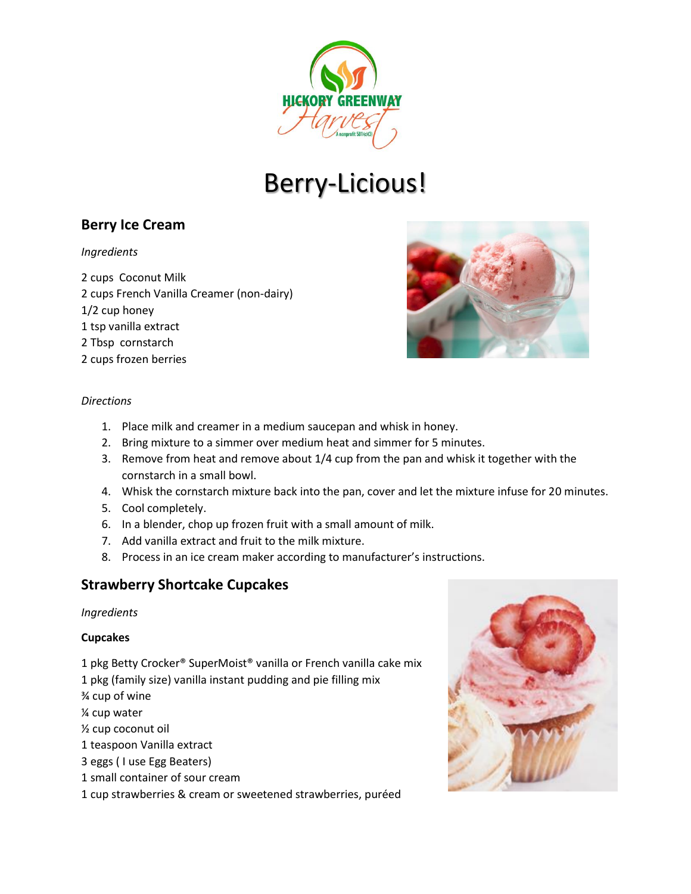

# Berry-Licious!

# **Berry Ice Cream**

#### *Ingredients*

2 cups Coconut Milk 2 cups French Vanilla Creamer (non-dairy) 1/2 cup honey 1 tsp vanilla extract 2 Tbsp cornstarch 2 cups frozen berries



#### *Directions*

- 1. Place milk and creamer in a medium saucepan and whisk in honey.
- 2. Bring mixture to a simmer over medium heat and simmer for 5 minutes.
- 3. Remove from heat and remove about 1/4 cup from the pan and whisk it together with the cornstarch in a small bowl.
- 4. Whisk the cornstarch mixture back into the pan, cover and let the mixture infuse for 20 minutes.
- 5. Cool completely.
- 6. In a blender, chop up frozen fruit with a small amount of milk.
- 7. Add vanilla extract and fruit to the milk mixture.
- 8. Process in an ice cream maker according to manufacturer's instructions.

## **Strawberry Shortcake Cupcakes**

#### *Ingredients*

#### **Cupcakes**

- 1 pkg Betty Crocker® SuperMoist® vanilla or French vanilla cake mix
- 1 pkg (family size) vanilla instant pudding and pie filling mix
- ¾ cup of wine
- ¼ cup water
- ½ cup coconut oil
- 1 teaspoon Vanilla extract
- 3 eggs ( I use Egg Beaters)
- 1 small container of sour cream
- 1 cup strawberries & cream or sweetened strawberries, puréed